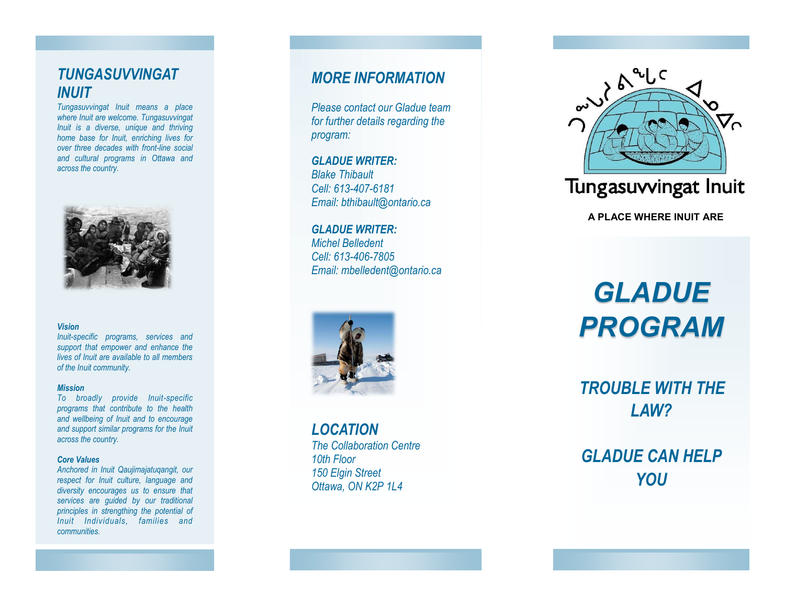# *TUNGASUVVINGAT INUIT*

*Tungasuvvingat Inuit means a place where Inuit are welcome. Tungasuvvingat Inuit is a diverse, unique and thriving home base for Inuit, enriching lives for over three decades with front-line social and cultural programs in Ottawa and across the country.* 



#### *Vision*

*Inuit-specific programs, services and support that empower and enhance the lives of Inuit are available to all members of the Inuit community.* 

#### *Mission*

*To broadly provide Inuit-specific programs that contribute to the health and wellbeing of Inuit and to encourage and support similar programs for the Inuit across the country.* 

#### *Core Values*

*Anchored in Inuit Qaujimajatuqangit, our respect for Inuit culture, language and diversity encourages us to ensure that services are guided by our traditional principles in strengthing the potential of Inuit Individuals, families and communities.*

# *MORE INFORMATION*

*Please contact our Gladue team for further details regarding the program:* 

*GLADUE WRITER: Blake Thibault Cell: 613-407-6181 Email: bthibault@ontario.ca* 

*GLADUE WRITER: Michel Belledent Cell: 613-406-7805 Email: mbelledent@ontario.ca* 



*LOCATION The Collaboration Centre 10th Floor 150 Elgin Street Ottawa, ON K2P 1L4* 



**A PLACE WHERE INUIT ARE** 

*GLADUE PROGRAM*

*TROUBLE WITH THE LAW?* 

*GLADUE CAN HELP YOU*